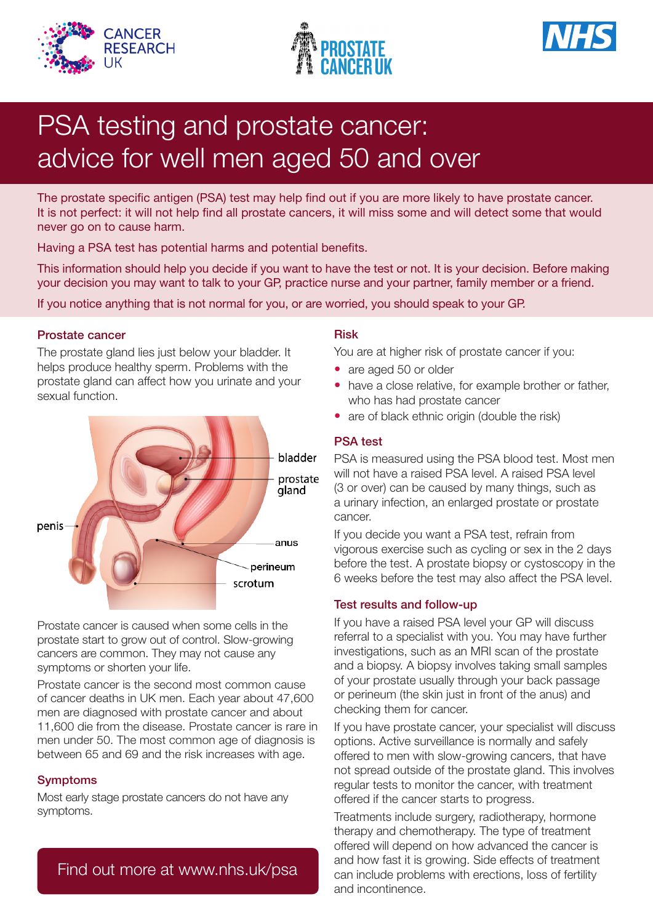





# PSA testing and prostate cancer: advice for well men aged 50 and over

The prostate specific antigen (PSA) test may help find out if you are more likely to have prostate cancer. It is not perfect: it will not help find all prostate cancers, it will miss some and will detect some that would never go on to cause harm.

Having a PSA test has potential harms and potential benefits.

This information should help you decide if you want to have the test or not. It is your decision. Before making your decision you may want to talk to your GP, practice nurse and your partner, family member or a friend.

If you notice anything that is not normal for you, or are worried, you should speak to your GP.

#### Prostate cancer

The prostate gland lies just below your bladder. It helps produce healthy sperm. Problems with the prostate gland can affect how you urinate and your sexual function.



Prostate cancer is caused when some cells in the prostate start to grow out of control. Slow-growing cancers are common. They may not cause any symptoms or shorten your life.

Prostate cancer is the second most common cause of cancer deaths in UK men. Each year about 47,600 men are diagnosed with prostate cancer and about 11,600 die from the disease. Prostate cancer is rare in men under 50. The most common age of diagnosis is between 65 and 69 and the risk increases with age.

#### Symptoms

Most early stage prostate cancers do not have any symptoms.

## Find out more at www.nhs.uk/psa

#### Risk

You are at higher risk of prostate cancer if you:

- are aged 50 or older
- have a close relative, for example brother or father, who has had prostate cancer
- are of black ethnic origin (double the risk)

### PSA test

PSA is measured using the PSA blood test. Most men will not have a raised PSA level. A raised PSA level (3 or over) can be caused by many things, such as a urinary infection, an enlarged prostate or prostate cancer.

If you decide you want a PSA test, refrain from vigorous exercise such as cycling or sex in the 2 days before the test. A prostate biopsy or cystoscopy in the 6 weeks before the test may also affect the PSA level.

#### Test results and follow-up

If you have a raised PSA level your GP will discuss referral to a specialist with you. You may have further investigations, such as an MRI scan of the prostate and a biopsy. A biopsy involves taking small samples of your prostate usually through your back passage or perineum (the skin just in front of the anus) and checking them for cancer.

If you have prostate cancer, your specialist will discuss options. Active surveillance is normally and safely offered to men with slow-growing cancers, that have not spread outside of the prostate gland. This involves regular tests to monitor the cancer, with treatment offered if the cancer starts to progress.

Treatments include surgery, radiotherapy, hormone therapy and chemotherapy. The type of treatment offered will depend on how advanced the cancer is and how fast it is growing. Side effects of treatment can include problems with erections, loss of fertility and incontinence.